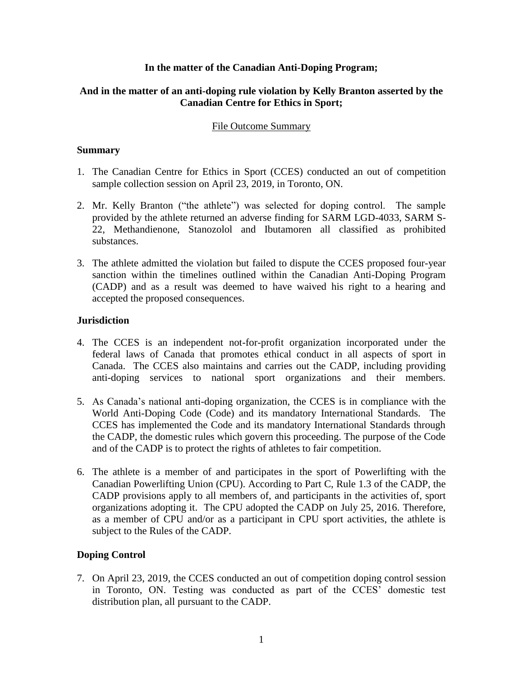## **In the matter of the Canadian Anti-Doping Program;**

## **And in the matter of an anti-doping rule violation by Kelly Branton asserted by the Canadian Centre for Ethics in Sport;**

## File Outcome Summary

## **Summary**

- 1. The Canadian Centre for Ethics in Sport (CCES) conducted an out of competition sample collection session on April 23, 2019, in Toronto, ON.
- 2. Mr. Kelly Branton ("the athlete") was selected for doping control. The sample provided by the athlete returned an adverse finding for SARM LGD-4033, SARM S-22, Methandienone, Stanozolol and Ibutamoren all classified as prohibited substances.
- 3. The athlete admitted the violation but failed to dispute the CCES proposed four-year sanction within the timelines outlined within the Canadian Anti-Doping Program (CADP) and as a result was deemed to have waived his right to a hearing and accepted the proposed consequences.

### **Jurisdiction**

- 4. The CCES is an independent not-for-profit organization incorporated under the federal laws of Canada that promotes ethical conduct in all aspects of sport in Canada. The CCES also maintains and carries out the CADP, including providing anti-doping services to national sport organizations and their members.
- 5. As Canada's national anti-doping organization, the CCES is in compliance with the World Anti-Doping Code (Code) and its mandatory International Standards. The CCES has implemented the Code and its mandatory International Standards through the CADP, the domestic rules which govern this proceeding. The purpose of the Code and of the CADP is to protect the rights of athletes to fair competition.
- 6. The athlete is a member of and participates in the sport of Powerlifting with the Canadian Powerlifting Union (CPU). According to Part C, Rule 1.3 of the CADP, the CADP provisions apply to all members of, and participants in the activities of, sport organizations adopting it. The CPU adopted the CADP on July 25, 2016. Therefore, as a member of CPU and/or as a participant in CPU sport activities, the athlete is subject to the Rules of the CADP.

# **Doping Control**

7. On April 23, 2019, the CCES conducted an out of competition doping control session in Toronto, ON. Testing was conducted as part of the CCES' domestic test distribution plan, all pursuant to the CADP.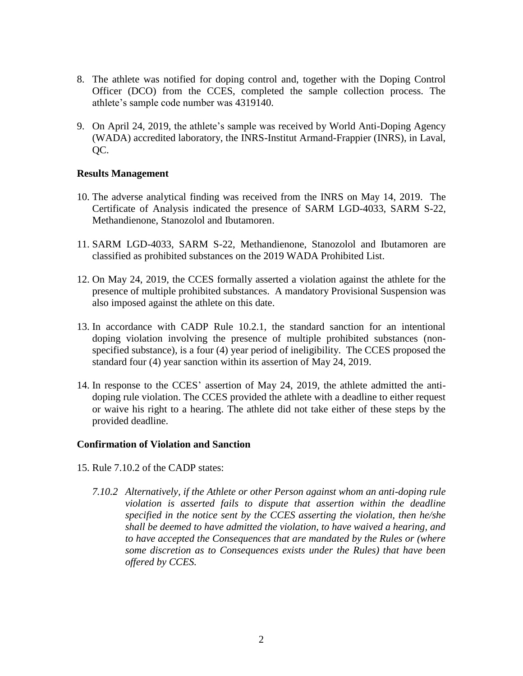- 8. The athlete was notified for doping control and, together with the Doping Control Officer (DCO) from the CCES, completed the sample collection process. The athlete's sample code number was 4319140.
- 9. On April 24, 2019, the athlete's sample was received by World Anti-Doping Agency (WADA) accredited laboratory, the INRS-Institut Armand-Frappier (INRS), in Laval, QC.

#### **Results Management**

- 10. The adverse analytical finding was received from the INRS on May 14, 2019. The Certificate of Analysis indicated the presence of SARM LGD-4033, SARM S-22, Methandienone, Stanozolol and Ibutamoren.
- 11. SARM LGD-4033, SARM S-22, Methandienone, Stanozolol and Ibutamoren are classified as prohibited substances on the 2019 WADA Prohibited List.
- 12. On May 24, 2019, the CCES formally asserted a violation against the athlete for the presence of multiple prohibited substances. A mandatory Provisional Suspension was also imposed against the athlete on this date.
- 13. In accordance with CADP Rule 10.2.1, the standard sanction for an intentional doping violation involving the presence of multiple prohibited substances (nonspecified substance), is a four (4) year period of ineligibility. The CCES proposed the standard four (4) year sanction within its assertion of May 24, 2019.
- 14. In response to the CCES' assertion of May 24, 2019, the athlete admitted the antidoping rule violation. The CCES provided the athlete with a deadline to either request or waive his right to a hearing. The athlete did not take either of these steps by the provided deadline.

### **Confirmation of Violation and Sanction**

- 15. Rule 7.10.2 of the CADP states:
	- *7.10.2 Alternatively, if the Athlete or other Person against whom an anti-doping rule violation is asserted fails to dispute that assertion within the deadline specified in the notice sent by the CCES asserting the violation, then he/she shall be deemed to have admitted the violation, to have waived a hearing, and to have accepted the Consequences that are mandated by the Rules or (where some discretion as to Consequences exists under the Rules) that have been offered by CCES.*